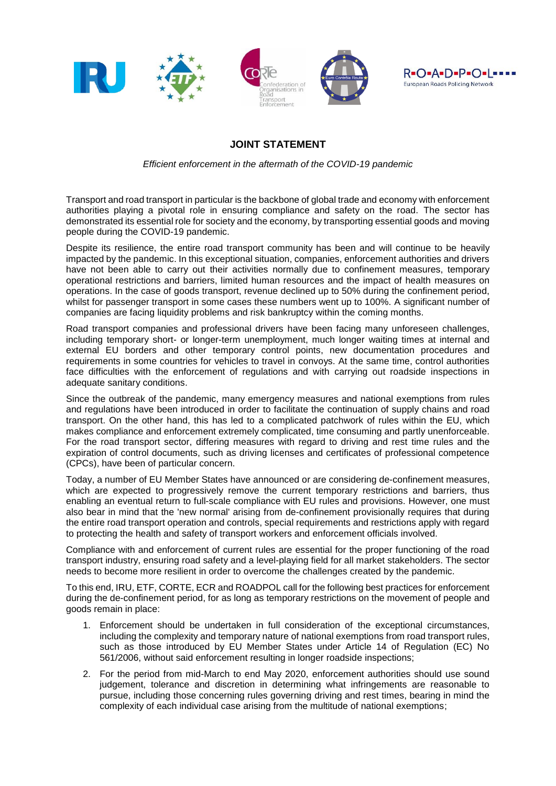

## **JOINT STATEMENT**

*Efficient enforcement in the aftermath of the COVID-19 pandemic* 

Transport and road transport in particular is the backbone of global trade and economy with enforcement authorities playing a pivotal role in ensuring compliance and safety on the road. The sector has demonstrated its essential role for society and the economy, by transporting essential goods and moving people during the COVID-19 pandemic.

Despite its resilience, the entire road transport community has been and will continue to be heavily impacted by the pandemic. In this exceptional situation, companies, enforcement authorities and drivers have not been able to carry out their activities normally due to confinement measures, temporary operational restrictions and barriers, limited human resources and the impact of health measures on operations. In the case of goods transport, revenue declined up to 50% during the confinement period, whilst for passenger transport in some cases these numbers went up to 100%. A significant number of companies are facing liquidity problems and risk bankruptcy within the coming months.

Road transport companies and professional drivers have been facing many unforeseen challenges, including temporary short- or longer-term unemployment, much longer waiting times at internal and external EU borders and other temporary control points, new documentation procedures and requirements in some countries for vehicles to travel in convoys. At the same time, control authorities face difficulties with the enforcement of regulations and with carrying out roadside inspections in adequate sanitary conditions.

Since the outbreak of the pandemic, many emergency measures and national exemptions from rules and regulations have been introduced in order to facilitate the continuation of supply chains and road transport. On the other hand, this has led to a complicated patchwork of rules within the EU, which makes compliance and enforcement extremely complicated, time consuming and partly unenforceable. For the road transport sector, differing measures with regard to driving and rest time rules and the expiration of control documents, such as driving licenses and certificates of professional competence (CPCs), have been of particular concern.

Today, a number of EU Member States have announced or are considering de-confinement measures, which are expected to progressively remove the current temporary restrictions and barriers, thus enabling an eventual return to full-scale compliance with EU rules and provisions. However, one must also bear in mind that the 'new normal' arising from de-confinement provisionally requires that during the entire road transport operation and controls, special requirements and restrictions apply with regard to protecting the health and safety of transport workers and enforcement officials involved.

Compliance with and enforcement of current rules are essential for the proper functioning of the road transport industry, ensuring road safety and a level-playing field for all market stakeholders. The sector needs to become more resilient in order to overcome the challenges created by the pandemic.

To this end, IRU, ETF, CORTE, ECR and ROADPOL call for the following best practices for enforcement during the de-confinement period, for as long as temporary restrictions on the movement of people and goods remain in place:

- 1. Enforcement should be undertaken in full consideration of the exceptional circumstances, including the complexity and temporary nature of national exemptions from road transport rules, such as those introduced by EU Member States under Article 14 of Regulation (EC) No 561/2006, without said enforcement resulting in longer roadside inspections;
- 2. For the period from mid-March to end May 2020, enforcement authorities should use sound judgement, tolerance and discretion in determining what infringements are reasonable to pursue, including those concerning rules governing driving and rest times, bearing in mind the complexity of each individual case arising from the multitude of national exemptions;